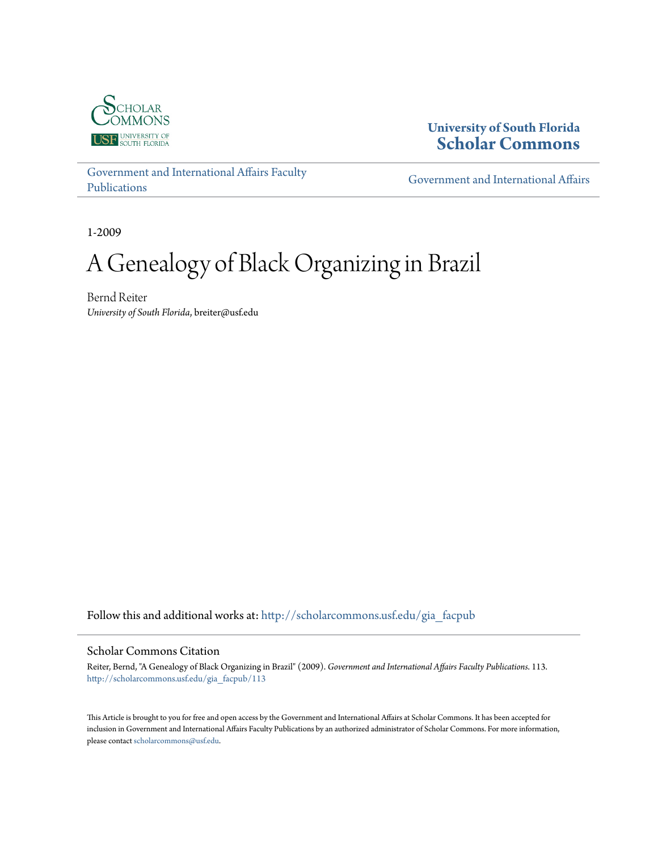

# **University of South Florida [Scholar Commons](http://scholarcommons.usf.edu?utm_source=scholarcommons.usf.edu%2Fgia_facpub%2F113&utm_medium=PDF&utm_campaign=PDFCoverPages)**

[Government and International Affairs Faculty](http://scholarcommons.usf.edu/gia_facpub?utm_source=scholarcommons.usf.edu%2Fgia_facpub%2F113&utm_medium=PDF&utm_campaign=PDFCoverPages) [Publications](http://scholarcommons.usf.edu/gia_facpub?utm_source=scholarcommons.usf.edu%2Fgia_facpub%2F113&utm_medium=PDF&utm_campaign=PDFCoverPages)

[Government and International Affairs](http://scholarcommons.usf.edu/gia?utm_source=scholarcommons.usf.edu%2Fgia_facpub%2F113&utm_medium=PDF&utm_campaign=PDFCoverPages)

1-2009

# A Genealogy of Black Organizing in Brazil

Bernd Reiter *University of South Florida*, breiter@usf.edu

Follow this and additional works at: [http://scholarcommons.usf.edu/gia\\_facpub](http://scholarcommons.usf.edu/gia_facpub?utm_source=scholarcommons.usf.edu%2Fgia_facpub%2F113&utm_medium=PDF&utm_campaign=PDFCoverPages)

#### Scholar Commons Citation

Reiter, Bernd, "A Genealogy of Black Organizing in Brazil" (2009). *Government and International Affairs Faculty Publications*. 113. [http://scholarcommons.usf.edu/gia\\_facpub/113](http://scholarcommons.usf.edu/gia_facpub/113?utm_source=scholarcommons.usf.edu%2Fgia_facpub%2F113&utm_medium=PDF&utm_campaign=PDFCoverPages)

This Article is brought to you for free and open access by the Government and International Affairs at Scholar Commons. It has been accepted for inclusion in Government and International Affairs Faculty Publications by an authorized administrator of Scholar Commons. For more information, please contact [scholarcommons@usf.edu.](mailto:scholarcommons@usf.edu)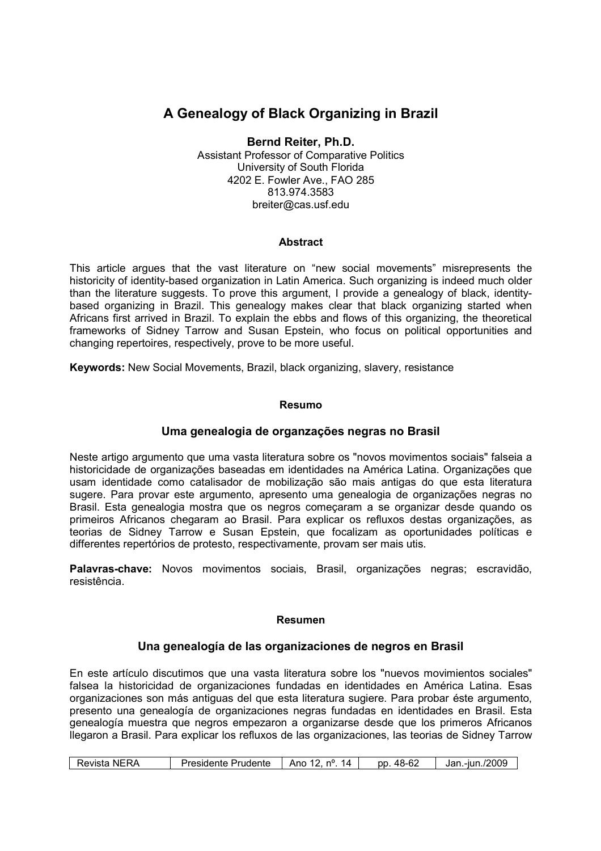# A Genealogy of Black Organizing in Brazil

#### Bernd Reiter, Ph.D. Assistant Professor of Comparative Politics

University of South Florida 4202 E. Fowler Ave., FAO 285 813.974.3583 breiter@cas.usf.edu

# **Abstract**

This article argues that the vast literature on "new social movements" misrepresents the historicity of identity-based organization in Latin America. Such organizing is indeed much older than the literature suggests. To prove this argument, I provide a genealogy of black, identitybased organizing in Brazil. This genealogy makes clear that black organizing started when Africans first arrived in Brazil. To explain the ebbs and flows of this organizing, the theoretical frameworks of Sidney Tarrow and Susan Epstein, who focus on political opportunities and changing repertoires, respectively, prove to be more useful.

Keywords: New Social Movements, Brazil, black organizing, slavery, resistance

#### Resumo

# Uma genealogia de organzações negras no Brasil

Neste artigo argumento que uma vasta literatura sobre os "novos movimentos sociais" falseia a historicidade de organizações baseadas em identidades na América Latina. Organizações que usam identidade como catalisador de mobilização são mais antigas do que esta literatura sugere. Para provar este argumento, apresento uma genealogia de organizações negras no Brasil. Esta genealogia mostra que os negros começaram a se organizar desde quando os primeiros Africanos chegaram ao Brasil. Para explicar os refluxos destas organizações, as teorias de Sidney Tarrow e Susan Epstein, que focalizam as oportunidades políticas e differentes repertórios de protesto, respectivamente, provam ser mais utis.

Palavras-chave: Novos movimentos sociais, Brasil, organizações negras; escravidão, resistência.

#### Resumen

# Una genealogía de las organizaciones de negros en Brasil

En este artículo discutimos que una vasta literatura sobre los "nuevos movimientos sociales" falsea la historicidad de organizaciones fundadas en identidades en América Latina. Esas organizaciones son más antiguas del que esta literatura sugiere. Para probar éste argumento, presento una genealogía de organizaciones negras fundadas en identidades en Brasil. Esta genealogía muestra que negros empezaron a organizarse desde que los primeros Africanos llegaron a Brasil. Para explicar los refluxos de las organizaciones, las teorias de Sidney Tarrow

| 48-6∠<br>Ano<br>nu<br>14.<br>Revista<br>Presidente<br>Prudente<br>Jan<br>рp<br>- | <b>NERA</b> |  |  | c | -iun./2009 |
|----------------------------------------------------------------------------------|-------------|--|--|---|------------|
|----------------------------------------------------------------------------------|-------------|--|--|---|------------|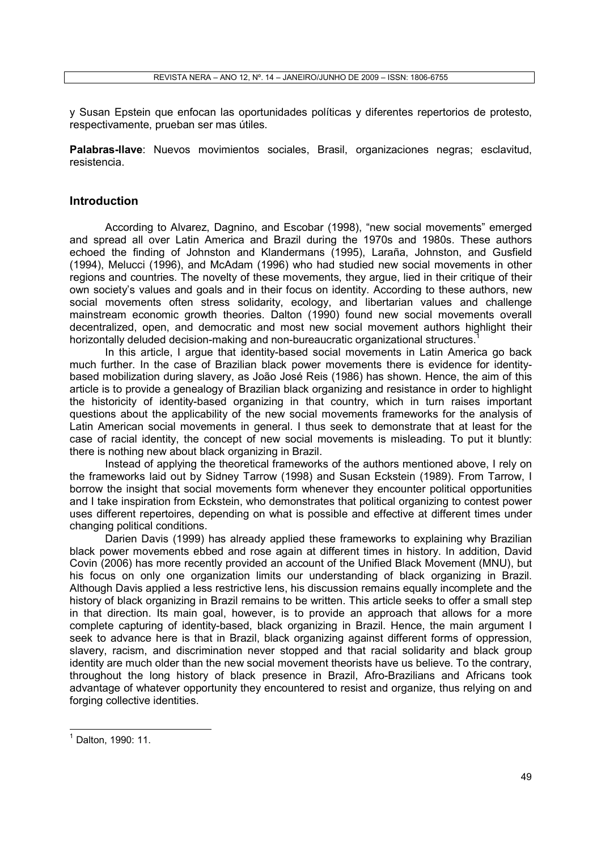y Susan Epstein que enfocan las oportunidades políticas y diferentes repertorios de protesto, respectivamente, prueban ser mas útiles.

Palabras-Ilave: Nuevos movimientos sociales, Brasil, organizaciones negras; esclavitud, resistencia.

### Introduction

According to Alvarez, Dagnino, and Escobar (1998), "new social movements" emerged and spread all over Latin America and Brazil during the 1970s and 1980s. These authors echoed the finding of Johnston and Klandermans (1995), Laraña, Johnston, and Gusfield (1994), Melucci (1996), and McAdam (1996) who had studied new social movements in other regions and countries. The novelty of these movements, they argue, lied in their critique of their own society's values and goals and in their focus on identity. According to these authors, new social movements often stress solidarity, ecology, and libertarian values and challenge mainstream economic growth theories. Dalton (1990) found new social movements overall decentralized, open, and democratic and most new social movement authors highlight their horizontally deluded decision-making and non-bureaucratic organizational structures.

In this article, I argue that identity-based social movements in Latin America go back much further. In the case of Brazilian black power movements there is evidence for identitybased mobilization during slavery, as João José Reis (1986) has shown. Hence, the aim of this article is to provide a genealogy of Brazilian black organizing and resistance in order to highlight the historicity of identity-based organizing in that country, which in turn raises important questions about the applicability of the new social movements frameworks for the analysis of Latin American social movements in general. I thus seek to demonstrate that at least for the case of racial identity, the concept of new social movements is misleading. To put it bluntly: there is nothing new about black organizing in Brazil.

Instead of applying the theoretical frameworks of the authors mentioned above, I rely on the frameworks laid out by Sidney Tarrow (1998) and Susan Eckstein (1989). From Tarrow, I borrow the insight that social movements form whenever they encounter political opportunities and I take inspiration from Eckstein, who demonstrates that political organizing to contest power uses different repertoires, depending on what is possible and effective at different times under changing political conditions.

Darien Davis (1999) has already applied these frameworks to explaining why Brazilian black power movements ebbed and rose again at different times in history. In addition, David Covin (2006) has more recently provided an account of the Unified Black Movement (MNU), but his focus on only one organization limits our understanding of black organizing in Brazil. Although Davis applied a less restrictive lens, his discussion remains equally incomplete and the history of black organizing in Brazil remains to be written. This article seeks to offer a small step in that direction. Its main goal, however, is to provide an approach that allows for a more complete capturing of identity-based, black organizing in Brazil. Hence, the main argument I seek to advance here is that in Brazil, black organizing against different forms of oppression, slavery, racism, and discrimination never stopped and that racial solidarity and black group identity are much older than the new social movement theorists have us believe. To the contrary, throughout the long history of black presence in Brazil, Afro-Brazilians and Africans took advantage of whatever opportunity they encountered to resist and organize, thus relying on and forging collective identities.

<sup>&</sup>lt;sup>1</sup> Dalton, 1990: 11.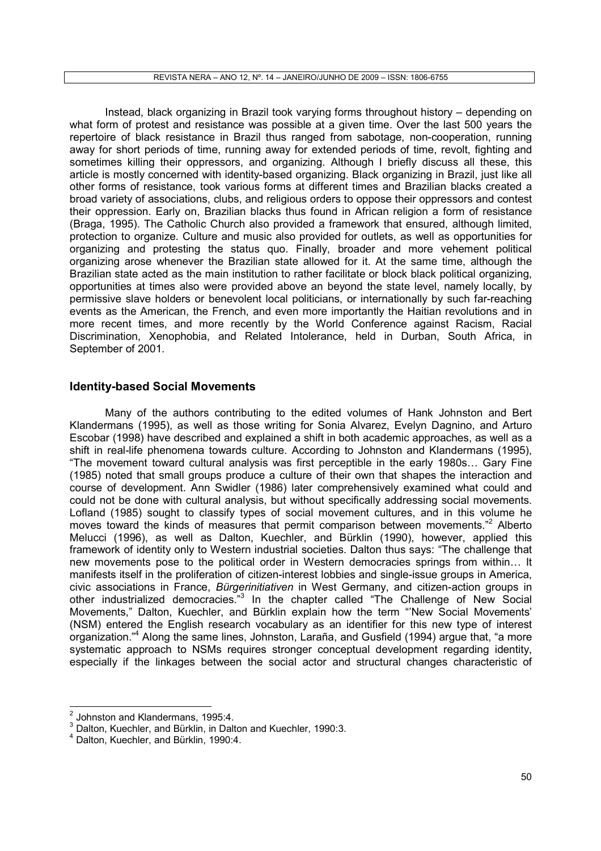Instead, black organizing in Brazil took varying forms throughout history – depending on what form of protest and resistance was possible at a given time. Over the last 500 years the repertoire of black resistance in Brazil thus ranged from sabotage, non-cooperation, running away for short periods of time, running away for extended periods of time, revolt, fighting and sometimes killing their oppressors, and organizing. Although I briefly discuss all these, this article is mostly concerned with identity-based organizing. Black organizing in Brazil, just like all other forms of resistance, took various forms at different times and Brazilian blacks created a broad variety of associations, clubs, and religious orders to oppose their oppressors and contest their oppression. Early on, Brazilian blacks thus found in African religion a form of resistance (Braga, 1995). The Catholic Church also provided a framework that ensured, although limited, protection to organize. Culture and music also provided for outlets, as well as opportunities for organizing and protesting the status quo. Finally, broader and more vehement political organizing arose whenever the Brazilian state allowed for it. At the same time, although the Brazilian state acted as the main institution to rather facilitate or block black political organizing, opportunities at times also were provided above an beyond the state level, namely locally, by permissive slave holders or benevolent local politicians, or internationally by such far-reaching events as the American, the French, and even more importantly the Haitian revolutions and in more recent times, and more recently by the World Conference against Racism, Racial Discrimination, Xenophobia, and Related Intolerance, held in Durban, South Africa, in September of 2001.

## Identity-based Social Movements

Many of the authors contributing to the edited volumes of Hank Johnston and Bert Klandermans (1995), as well as those writing for Sonia Alvarez, Evelyn Dagnino, and Arturo Escobar (1998) have described and explained a shift in both academic approaches, as well as a shift in real-life phenomena towards culture. According to Johnston and Klandermans (1995), "The movement toward cultural analysis was first perceptible in the early 1980s... Gary Fine (1985) noted that small groups produce a culture of their own that shapes the interaction and course of development. Ann Swidler (1986) later comprehensively examined what could and could not be done with cultural analysis, but without specifically addressing social movements. Lofland (1985) sought to classify types of social movement cultures, and in this volume he moves toward the kinds of measures that permit comparison between movements."<sup>2</sup> Alberto Melucci (1996), as well as Dalton, Kuechler, and Bürklin (1990), however, applied this framework of identity only to Western industrial societies. Dalton thus says: "The challenge that new movements pose to the political order in Western democracies springs from within... It manifests itself in the proliferation of citizen-interest lobbies and single-issue groups in America, civic associations in France, Bürgerinitiativen in West Germany, and citizen-action groups in other industrialized democracies."<sup>3</sup> In the chapter called "The Challenge of New Social Movements," Dalton, Kuechler, and Bürklin explain how the term "'New Social Movements' (NSM) entered the English research vocabulary as an identifier for this new type of interest organization."<sup>4</sup> Along the same lines, Johnston, Laraña, and Gusfield (1994) argue that, "a more systematic approach to NSMs requires stronger conceptual development regarding identity, especially if the linkages between the social actor and structural changes characteristic of

 $2$  Johnston and Klandermans, 1995:4.

 $3$  Dalton, Kuechler, and Bürklin, in Dalton and Kuechler, 1990:3.

<sup>4</sup> Dalton, Kuechler, and Bürklin, 1990:4.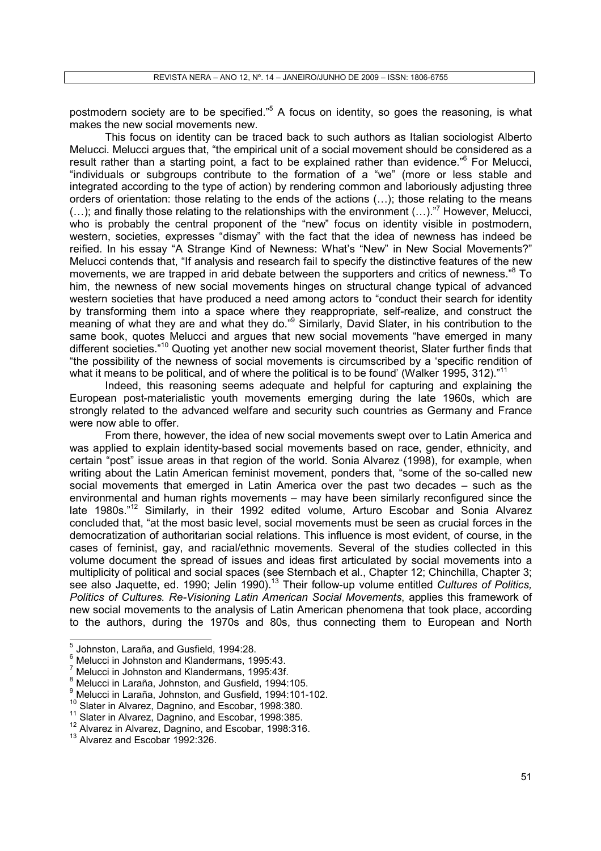postmodern society are to be specified."<sup>5</sup> A focus on identity, so goes the reasoning, is what makes the new social movements new.

This focus on identity can be traced back to such authors as Italian sociologist Alberto Melucci. Melucci argues that, "the empirical unit of a social movement should be considered as a result rather than a starting point, a fact to be explained rather than evidence."<sup>6</sup> For Melucci, "individuals or subgroups contribute to the formation of a "we" (more or less stable and integrated according to the type of action) by rendering common and laboriously adjusting three orders of orientation: those relating to the ends of the actions (...); those relating to the means  $(...)$ ; and finally those relating to the relationships with the environment  $(...)$ ."<sup>7</sup> However, Melucci, who is probably the central proponent of the "new" focus on identity visible in postmodern, western, societies, expresses "dismay" with the fact that the idea of newness has indeed be reified. In his essay "A Strange Kind of Newness: What's "New" in New Social Movements?" Melucci contends that, "If analysis and research fail to specify the distinctive features of the new movements, we are trapped in arid debate between the supporters and critics of newness."<sup>8</sup> To him, the newness of new social movements hinges on structural change typical of advanced western societies that have produced a need among actors to "conduct their search for identity by transforming them into a space where they reappropriate, self-realize, and construct the meaning of what they are and what they do."<sup>9</sup> Similarly, David Slater, in his contribution to the same book, quotes Melucci and argues that new social movements "have emerged in many different societies."<sup>10</sup> Quoting yet another new social movement theorist. Slater further finds that "the possibility of the newness of social movements is circumscribed by a 'specific rendition of what it means to be political, and of where the political is to be found' (Walker 1995, 312)."<sup>11</sup>

Indeed, this reasoning seems adequate and helpful for capturing and explaining the European post-materialistic youth movements emerging during the late 1960s, which are strongly related to the advanced welfare and security such countries as Germany and France were now able to offer.

From there, however, the idea of new social movements swept over to Latin America and was applied to explain identity-based social movements based on race, gender, ethnicity, and certain "post" issue areas in that region of the world. Sonia Alvarez (1998), for example, when writing about the Latin American feminist movement, ponders that, "some of the so-called new social movements that emerged in Latin America over the past two decades – such as the environmental and human rights movements – may have been similarly reconfigured since the late 1980s."<sup>12</sup> Similarly, in their 1992 edited volume, Arturo Escobar and Sonia Alvarez concluded that, "at the most basic level, social movements must be seen as crucial forces in the democratization of authoritarian social relations. This influence is most evident, of course, in the cases of feminist, gay, and racial/ethnic movements. Several of the studies collected in this volume document the spread of issues and ideas first articulated by social movements into a multiplicity of political and social spaces (see Sternbach et al., Chapter 12; Chinchilla, Chapter 3; see also Jaquette, ed. 1990; Jelin 1990).<sup>13</sup> Their follow-up volume entitled Cultures of Politics, Politics of Cultures. Re-Visioning Latin American Social Movements, applies this framework of new social movements to the analysis of Latin American phenomena that took place, according to the authors, during the 1970s and 80s, thus connecting them to European and North

 $\frac{6}{5}$  Melucci in Johnston and Klandermans, 1995:43.

<sup>10</sup> Slater in Alvarez, Dagnino, and Escobar, 1998:380.

<sup>&</sup>lt;sup>5</sup> Johnston, Laraña, and Gusfield, 1994:28.

 $\frac{7}{1}$  Melucci in Johnston and Klandermans, 1995:43f.

 $\frac{8}{3}$  Melucci in Laraña, Johnston, and Gusfield, 1994:105.

<sup>9</sup> Melucci in Laraña, Johnston, and Gusfield, 1994:101-102.

<sup>&</sup>lt;sup>11</sup> Slater in Alvarez, Dagnino, and Escobar, 1998:385.

<sup>&</sup>lt;sup>12</sup> Alvarez in Alvarez, Dagnino, and Escobar, 1998:316.

<sup>&</sup>lt;sup>13</sup> Alvarez and Escobar 1992:326.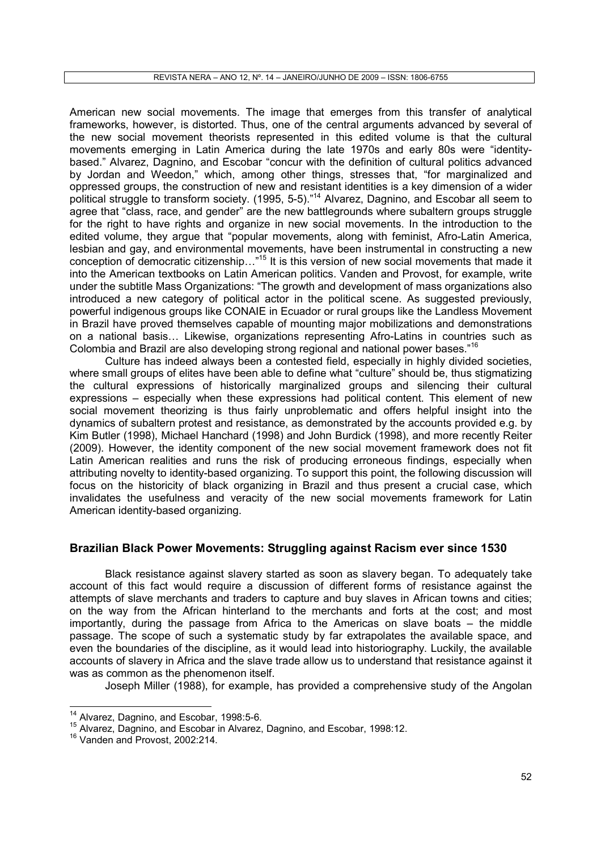American new social movements. The image that emerges from this transfer of analytical frameworks, however, is distorted. Thus, one of the central arguments advanced by several of the new social movement theorists represented in this edited volume is that the cultural movements emerging in Latin America during the late 1970s and early 80s were "identitybased." Alvarez, Dagnino, and Escobar "concur with the definition of cultural politics advanced by Jordan and Weedon," which, among other things, stresses that, "for marginalized and oppressed groups, the construction of new and resistant identities is a key dimension of a wider political struggle to transform society. (1995, 5-5)."<sup>14</sup> Alvarez, Dagnino, and Escobar all seem to agree that "class, race, and gender" are the new battlegrounds where subaltern groups struggle for the right to have rights and organize in new social movements. In the introduction to the edited volume, they argue that "popular movements, along with feminist, Afro-Latin America, lesbian and gay, and environmental movements, have been instrumental in constructing a new conception of democratic citizenship..."<sup>15</sup> It is this version of new social movements that made it into the American textbooks on Latin American politics. Vanden and Provost, for example, write under the subtitle Mass Organizations: "The growth and development of mass organizations also introduced a new category of political actor in the political scene. As suggested previously, powerful indigenous groups like CONAIE in Ecuador or rural groups like the Landless Movement in Brazil have proved themselves capable of mounting major mobilizations and demonstrations on a national basis... Likewise, organizations representing Afro-Latins in countries such as Colombia and Brazil are also developing strong regional and national power bases."<sup>16</sup>

Culture has indeed always been a contested field, especially in highly divided societies, where small groups of elites have been able to define what "culture" should be, thus stigmatizing the cultural expressions of historically marginalized groups and silencing their cultural expressions – especially when these expressions had political content. This element of new social movement theorizing is thus fairly unproblematic and offers helpful insight into the dynamics of subaltern protest and resistance, as demonstrated by the accounts provided e.g. by Kim Butler (1998), Michael Hanchard (1998) and John Burdick (1998), and more recently Reiter (2009). However, the identity component of the new social movement framework does not fit Latin American realities and runs the risk of producing erroneous findings, especially when attributing novelty to identity-based organizing. To support this point, the following discussion will focus on the historicity of black organizing in Brazil and thus present a crucial case, which invalidates the usefulness and veracity of the new social movements framework for Latin American identity-based organizing.

# Brazilian Black Power Movements: Struggling against Racism ever since 1530

Black resistance against slavery started as soon as slavery began. To adequately take account of this fact would require a discussion of different forms of resistance against the attempts of slave merchants and traders to capture and buy slaves in African towns and cities; on the way from the African hinterland to the merchants and forts at the cost; and most importantly, during the passage from Africa to the Americas on slave boats – the middle passage. The scope of such a systematic study by far extrapolates the available space, and even the boundaries of the discipline, as it would lead into historiography. Luckily, the available accounts of slavery in Africa and the slave trade allow us to understand that resistance against it was as common as the phenomenon itself.

Joseph Miller (1988), for example, has provided a comprehensive study of the Angolan

<sup>&</sup>lt;sup>14</sup> Alvarez, Dagnino, and Escobar, 1998:5-6.

<sup>15</sup> Alvarez, Dagnino, and Escobar in Alvarez, Dagnino, and Escobar, 1998:12.

<sup>&</sup>lt;sup>16</sup> Vanden and Provost, 2002:214.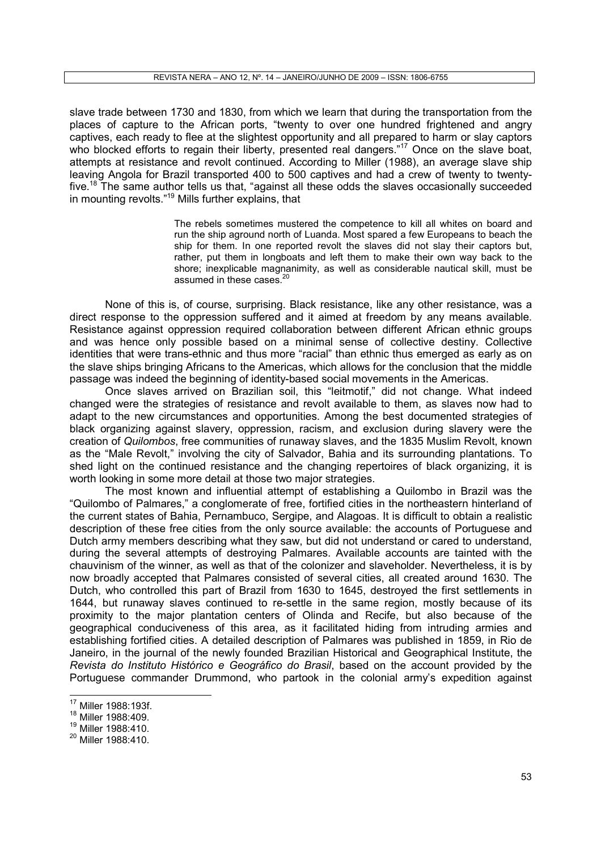slave trade between 1730 and 1830, from which we learn that during the transportation from the places of capture to the African ports, "twenty to over one hundred frightened and angry captives, each ready to flee at the slightest opportunity and all prepared to harm or slay captors who blocked efforts to regain their liberty, presented real dangers."<sup>17</sup> Once on the slave boat, attempts at resistance and revolt continued. According to Miller (1988), an average slave ship leaving Angola for Brazil transported 400 to 500 captives and had a crew of twenty to twentyfive.<sup>18</sup> The same author tells us that, "against all these odds the slaves occasionally succeeded in mounting revolts."<sup>19</sup> Mills further explains, that

> The rebels sometimes mustered the competence to kill all whites on board and run the ship aground north of Luanda. Most spared a few Europeans to beach the ship for them. In one reported revolt the slaves did not slay their captors but, rather, put them in longboats and left them to make their own way back to the shore; inexplicable magnanimity, as well as considerable nautical skill, must be assumed in these cases.<sup>20</sup>

None of this is, of course, surprising. Black resistance, like any other resistance, was a direct response to the oppression suffered and it aimed at freedom by any means available. Resistance against oppression required collaboration between different African ethnic groups and was hence only possible based on a minimal sense of collective destiny. Collective identities that were trans-ethnic and thus more "racial" than ethnic thus emerged as early as on the slave ships bringing Africans to the Americas, which allows for the conclusion that the middle passage was indeed the beginning of identity-based social movements in the Americas.

Once slaves arrived on Brazilian soil, this "leitmotif," did not change. What indeed changed were the strategies of resistance and revolt available to them, as slaves now had to adapt to the new circumstances and opportunities. Among the best documented strategies of black organizing against slavery, oppression, racism, and exclusion during slavery were the creation of Quilombos, free communities of runaway slaves, and the 1835 Muslim Revolt, known as the "Male Revolt," involving the city of Salvador, Bahia and its surrounding plantations. To shed light on the continued resistance and the changing repertoires of black organizing, it is worth looking in some more detail at those two major strategies.

The most known and influential attempt of establishing a Quilombo in Brazil was the "Quilombo of Palmares," a conglomerate of free, fortified cities in the northeastern hinterland of the current states of Bahia, Pernambuco, Sergipe, and Alagoas. It is difficult to obtain a realistic description of these free cities from the only source available: the accounts of Portuguese and Dutch army members describing what they saw, but did not understand or cared to understand, during the several attempts of destroying Palmares. Available accounts are tainted with the chauvinism of the winner, as well as that of the colonizer and slaveholder. Nevertheless, it is by now broadly accepted that Palmares consisted of several cities, all created around 1630. The Dutch, who controlled this part of Brazil from 1630 to 1645, destroyed the first settlements in 1644, but runaway slaves continued to re-settle in the same region, mostly because of its proximity to the major plantation centers of Olinda and Recife, but also because of the geographical conduciveness of this area, as it facilitated hiding from intruding armies and establishing fortified cities. A detailed description of Palmares was published in 1859, in Rio de Janeiro, in the journal of the newly founded Brazilian Historical and Geographical Institute, the Revista do Instituto Histórico e Geográfico do Brasil, based on the account provided by the Portuguese commander Drummond, who partook in the colonial army's expedition against

<sup>17</sup> Miller 1988:193f.

<sup>18</sup> Miller 1988:409.

<sup>19</sup> Miller 1988:410.

<sup>20</sup> Miller 1988:410.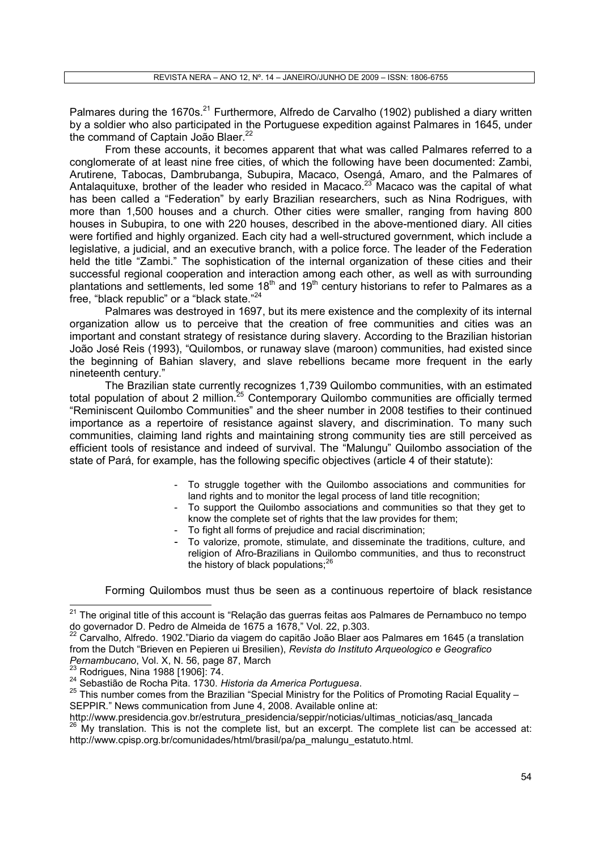Palmares during the 1670s.<sup>21</sup> Furthermore, Alfredo de Carvalho (1902) published a diary written by a soldier who also participated in the Portuguese expedition against Palmares in 1645, under the command of Captain João Blaer.<sup>22</sup>

From these accounts, it becomes apparent that what was called Palmares referred to a conglomerate of at least nine free cities, of which the following have been documented: Zambi, Arutirene, Tabocas, Dambrubanga, Subupira, Macaco, Osengá, Amaro, and the Palmares of Antalaquituxe, brother of the leader who resided in Macaco.<sup>23</sup> Macaco was the capital of what has been called a "Federation" by early Brazilian researchers, such as Nina Rodrigues, with more than 1,500 houses and a church. Other cities were smaller, ranging from having 800 houses in Subupira, to one with 220 houses, described in the above-mentioned diary. All cities were fortified and highly organized. Each city had a well-structured government, which include a legislative, a judicial, and an executive branch, with a police force. The leader of the Federation held the title "Zambi." The sophistication of the internal organization of these cities and their successful regional cooperation and interaction among each other, as well as with surrounding plantations and settlements, led some 18<sup>th</sup> and 19<sup>th</sup> century historians to refer to Palmares as a free, "black republic" or a "black state." $24$ 

Palmares was destroyed in 1697, but its mere existence and the complexity of its internal organization allow us to perceive that the creation of free communities and cities was an important and constant strategy of resistance during slavery. According to the Brazilian historian João José Reis (1993), "Quilombos, or runaway slave (maroon) communities, had existed since the beginning of Bahian slavery, and slave rebellions became more frequent in the early nineteenth century."

The Brazilian state currently recognizes 1,739 Quilombo communities, with an estimated total population of about 2 million. $25$  Contemporary Quilombo communities are officially termed "Reminiscent Quilombo Communities" and the sheer number in 2008 testifies to their continued importance as a repertoire of resistance against slavery, and discrimination. To many such communities, claiming land rights and maintaining strong community ties are still perceived as efficient tools of resistance and indeed of survival. The "Malungu" Quilombo association of the state of Pará, for example, has the following specific objectives (article 4 of their statute):

- To struggle together with the Quilombo associations and communities for land rights and to monitor the legal process of land title recognition;
- To support the Quilombo associations and communities so that they get to know the complete set of rights that the law provides for them;
- To fight all forms of prejudice and racial discrimination;
- To valorize, promote, stimulate, and disseminate the traditions, culture, and religion of Afro-Brazilians in Quilombo communities, and thus to reconstruct the history of black populations; $^{26}$

Forming Quilombos must thus be seen as a continuous repertoire of black resistance

<sup>&</sup>lt;sup>21</sup> The original title of this account is "Relação das guerras feitas aos Palmares de Pernambuco no tempo do governador D. Pedro de Almeida de 1675 a 1678," Vol. 22, p.303.

 $^{22}$  Carvalho, Alfredo. 1902."Diario da viagem do capitão João Blaer aos Palmares em 1645 (a translation from the Dutch "Brieven en Pepieren ui Bresilien), Revista do Instituto Arqueologico e Geografico Pernambucano, Vol. X, N. 56, page 87, March

<sup>23</sup> Rodrigues, Nina 1988 [1906]: 74.

<sup>&</sup>lt;sup>24</sup> Sebastião de Rocha Pita. 1730. Historia da America Portuguesa.

 $25$  This number comes from the Brazilian "Special Ministry for the Politics of Promoting Racial Equality – SEPPIR." News communication from June 4, 2008. Available online at:

http://www.presidencia.gov.br/estrutura\_presidencia/seppir/noticias/ultimas\_noticias/asq\_lancada

<sup>26</sup> My translation. This is not the complete list, but an excerpt. The complete list can be accessed at: http://www.cpisp.org.br/comunidades/html/brasil/pa/pa\_malungu\_estatuto.html.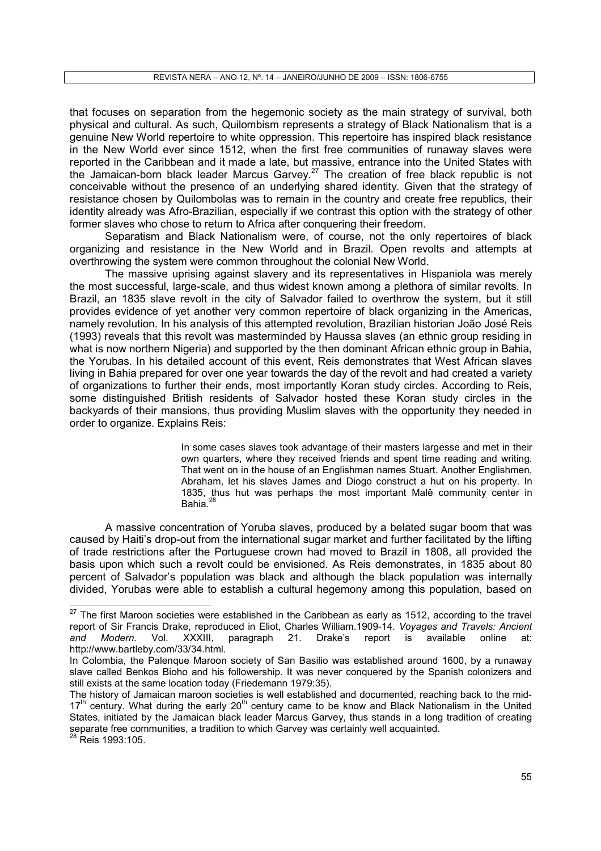that focuses on separation from the hegemonic society as the main strategy of survival, both physical and cultural. As such, Quilombism represents a strategy of Black Nationalism that is a genuine New World repertoire to white oppression. This repertoire has inspired black resistance in the New World ever since 1512, when the first free communities of runaway slaves were reported in the Caribbean and it made a late, but massive, entrance into the United States with the Jamaican-born black leader Marcus Garvey.<sup>27</sup> The creation of free black republic is not conceivable without the presence of an underlying shared identity. Given that the strategy of resistance chosen by Quilombolas was to remain in the country and create free republics, their identity already was Afro-Brazilian, especially if we contrast this option with the strategy of other former slaves who chose to return to Africa after conquering their freedom.

Separatism and Black Nationalism were, of course, not the only repertoires of black organizing and resistance in the New World and in Brazil. Open revolts and attempts at overthrowing the system were common throughout the colonial New World.

The massive uprising against slavery and its representatives in Hispaniola was merely the most successful, large-scale, and thus widest known among a plethora of similar revolts. In Brazil, an 1835 slave revolt in the city of Salvador failed to overthrow the system, but it still provides evidence of yet another very common repertoire of black organizing in the Americas, namely revolution. In his analysis of this attempted revolution, Brazilian historian João José Reis (1993) reveals that this revolt was masterminded by Haussa slaves (an ethnic group residing in what is now northern Nigeria) and supported by the then dominant African ethnic group in Bahia, the Yorubas. In his detailed account of this event, Reis demonstrates that West African slaves living in Bahia prepared for over one year towards the day of the revolt and had created a variety of organizations to further their ends, most importantly Koran study circles. According to Reis, some distinguished British residents of Salvador hosted these Koran study circles in the backyards of their mansions, thus providing Muslim slaves with the opportunity they needed in order to organize. Explains Reis:

> In some cases slaves took advantage of their masters largesse and met in their own quarters, where they received friends and spent time reading and writing. That went on in the house of an Englishman names Stuart. Another Englishmen, Abraham, let his slaves James and Diogo construct a hut on his property. In 1835, thus hut was perhaps the most important Malê community center in Bahia.<sup>28</sup>

A massive concentration of Yoruba slaves, produced by a belated sugar boom that was caused by Haiti's drop-out from the international sugar market and further facilitated by the lifting of trade restrictions after the Portuguese crown had moved to Brazil in 1808, all provided the basis upon which such a revolt could be envisioned. As Reis demonstrates, in 1835 about 80 percent of Salvador's population was black and although the black population was internally divided, Yorubas were able to establish a cultural hegemony among this population, based on

 $^{28}$  Reis 1993:105.

 $27$  The first Maroon societies were established in the Caribbean as early as 1512, according to the travel report of Sir Francis Drake, reproduced in Eliot, Charles William.1909-14. Voyages and Travels: Ancient and Modern. Vol. XXXIII, paragraph 21. Drake's report is available online at: http://www.bartleby.com/33/34.html.

In Colombia, the Palenque Maroon society of San Basilio was established around 1600, by a runaway slave called Benkos Bioho and his followership. It was never conquered by the Spanish colonizers and still exists at the same location today (Friedemann 1979:35).

The history of Jamaican maroon societies is well established and documented, reaching back to the mid-17<sup>th</sup> century. What during the early 20<sup>th</sup> century came to be know and Black Nationalism in the United States, initiated by the Jamaican black leader Marcus Garvey, thus stands in a long tradition of creating separate free communities, a tradition to which Garvey was certainly well acquainted.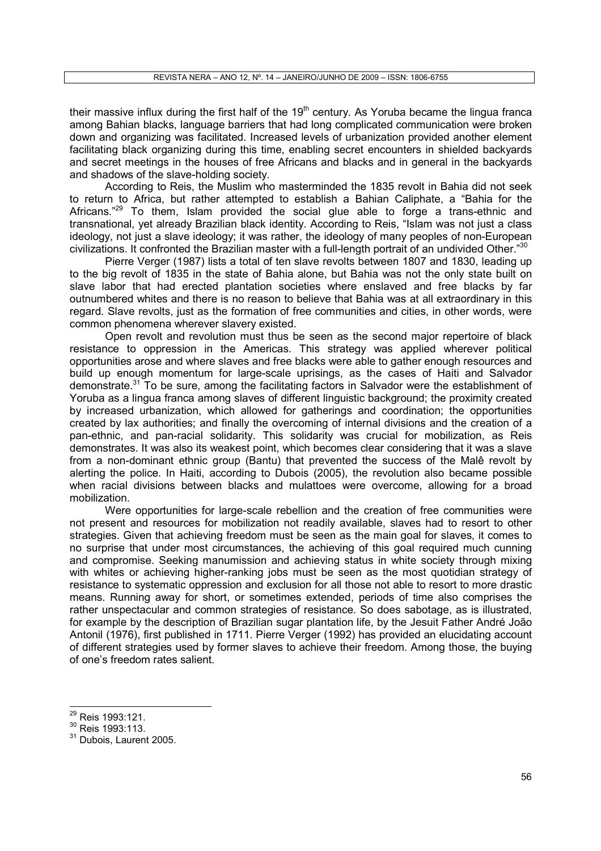their massive influx during the first half of the 19<sup>th</sup> century. As Yoruba became the lingua franca among Bahian blacks, language barriers that had long complicated communication were broken down and organizing was facilitated. Increased levels of urbanization provided another element facilitating black organizing during this time, enabling secret encounters in shielded backyards and secret meetings in the houses of free Africans and blacks and in general in the backyards and shadows of the slave-holding society.

According to Reis, the Muslim who masterminded the 1835 revolt in Bahia did not seek to return to Africa, but rather attempted to establish a Bahian Caliphate, a "Bahia for the Africans."<sup>29</sup> To them, Islam provided the social glue able to forge a trans-ethnic and transnational, yet already Brazilian black identity. According to Reis, "Islam was not just a class ideology, not just a slave ideology; it was rather, the ideology of many peoples of non-European civilizations. It confronted the Brazilian master with a full-length portrait of an undivided Other." $30$ 

Pierre Verger (1987) lists a total of ten slave revolts between 1807 and 1830, leading up to the big revolt of 1835 in the state of Bahia alone, but Bahia was not the only state built on slave labor that had erected plantation societies where enslaved and free blacks by far outnumbered whites and there is no reason to believe that Bahia was at all extraordinary in this regard. Slave revolts, just as the formation of free communities and cities, in other words, were common phenomena wherever slavery existed.

Open revolt and revolution must thus be seen as the second major repertoire of black resistance to oppression in the Americas. This strategy was applied wherever political opportunities arose and where slaves and free blacks were able to gather enough resources and build up enough momentum for large-scale uprisings, as the cases of Haiti and Salvador demonstrate.<sup>31</sup> To be sure, among the facilitating factors in Salvador were the establishment of Yoruba as a lingua franca among slaves of different linguistic background; the proximity created by increased urbanization, which allowed for gatherings and coordination; the opportunities created by lax authorities; and finally the overcoming of internal divisions and the creation of a pan-ethnic, and pan-racial solidarity. This solidarity was crucial for mobilization, as Reis demonstrates. It was also its weakest point, which becomes clear considering that it was a slave from a non-dominant ethnic group (Bantu) that prevented the success of the Malê revolt by alerting the police. In Haiti, according to Dubois (2005), the revolution also became possible when racial divisions between blacks and mulattoes were overcome, allowing for a broad mobilization.

Were opportunities for large-scale rebellion and the creation of free communities were not present and resources for mobilization not readily available, slaves had to resort to other strategies. Given that achieving freedom must be seen as the main goal for slaves, it comes to no surprise that under most circumstances, the achieving of this goal required much cunning and compromise. Seeking manumission and achieving status in white society through mixing with whites or achieving higher-ranking jobs must be seen as the most quotidian strategy of resistance to systematic oppression and exclusion for all those not able to resort to more drastic means. Running away for short, or sometimes extended, periods of time also comprises the rather unspectacular and common strategies of resistance. So does sabotage, as is illustrated, for example by the description of Brazilian sugar plantation life, by the Jesuit Father André João Antonil (1976), first published in 1711. Pierre Verger (1992) has provided an elucidating account of different strategies used by former slaves to achieve their freedom. Among those, the buying of one's freedom rates salient.

<sup>29</sup> Reis 1993:121.

<sup>30</sup> Reis 1993:113.

<sup>&</sup>lt;sup>31</sup> Dubois, Laurent 2005.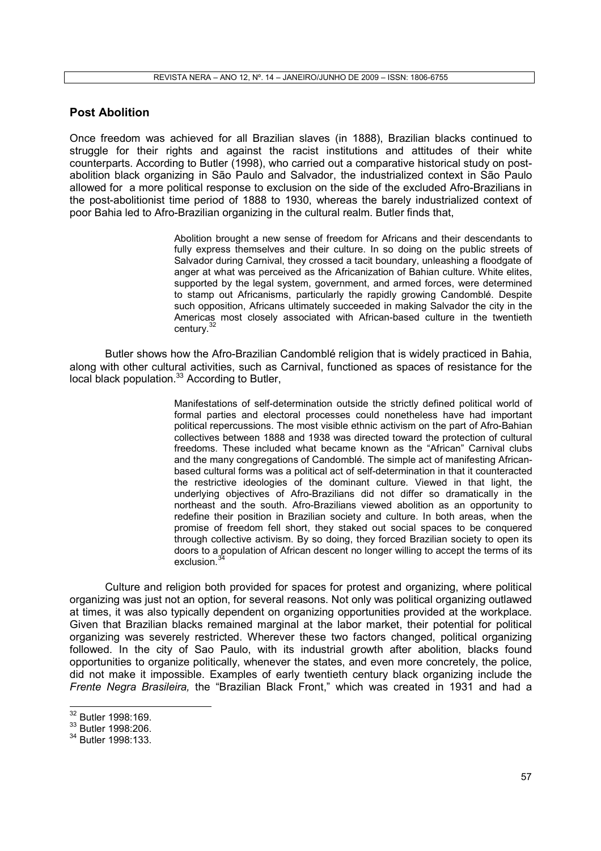## Post Abolition

Once freedom was achieved for all Brazilian slaves (in 1888), Brazilian blacks continued to struggle for their rights and against the racist institutions and attitudes of their white counterparts. According to Butler (1998), who carried out a comparative historical study on postabolition black organizing in São Paulo and Salvador, the industrialized context in São Paulo allowed for a more political response to exclusion on the side of the excluded Afro-Brazilians in the post-abolitionist time period of 1888 to 1930, whereas the barely industrialized context of poor Bahia led to Afro-Brazilian organizing in the cultural realm. Butler finds that,

> Abolition brought a new sense of freedom for Africans and their descendants to fully express themselves and their culture. In so doing on the public streets of Salvador during Carnival, they crossed a tacit boundary, unleashing a floodgate of anger at what was perceived as the Africanization of Bahian culture. White elites, supported by the legal system, government, and armed forces, were determined to stamp out Africanisms, particularly the rapidly growing Candomblé. Despite such opposition, Africans ultimately succeeded in making Salvador the city in the Americas most closely associated with African-based culture in the twentieth century.<sup>32</sup>

Butler shows how the Afro-Brazilian Candomblé religion that is widely practiced in Bahia, along with other cultural activities, such as Carnival, functioned as spaces of resistance for the local black population.<sup>33</sup> According to Butler,

> Manifestations of self-determination outside the strictly defined political world of formal parties and electoral processes could nonetheless have had important political repercussions. The most visible ethnic activism on the part of Afro-Bahian collectives between 1888 and 1938 was directed toward the protection of cultural freedoms. These included what became known as the "African" Carnival clubs and the many congregations of Candomblé. The simple act of manifesting Africanbased cultural forms was a political act of self-determination in that it counteracted the restrictive ideologies of the dominant culture. Viewed in that light, the underlying objectives of Afro-Brazilians did not differ so dramatically in the northeast and the south. Afro-Brazilians viewed abolition as an opportunity to redefine their position in Brazilian society and culture. In both areas, when the promise of freedom fell short, they staked out social spaces to be conquered through collective activism. By so doing, they forced Brazilian society to open its doors to a population of African descent no longer willing to accept the terms of its exclusion.<sup>3</sup>

Culture and religion both provided for spaces for protest and organizing, where political organizing was just not an option, for several reasons. Not only was political organizing outlawed at times, it was also typically dependent on organizing opportunities provided at the workplace. Given that Brazilian blacks remained marginal at the labor market, their potential for political organizing was severely restricted. Wherever these two factors changed, political organizing followed. In the city of Sao Paulo, with its industrial growth after abolition, blacks found opportunities to organize politically, whenever the states, and even more concretely, the police, did not make it impossible. Examples of early twentieth century black organizing include the Frente Negra Brasileira, the "Brazilian Black Front," which was created in 1931 and had a

<sup>32</sup> Butler 1998:169.

<sup>&</sup>lt;sup>33</sup> Butler 1998:206.

<sup>&</sup>lt;sup>34</sup> Butler 1998:133.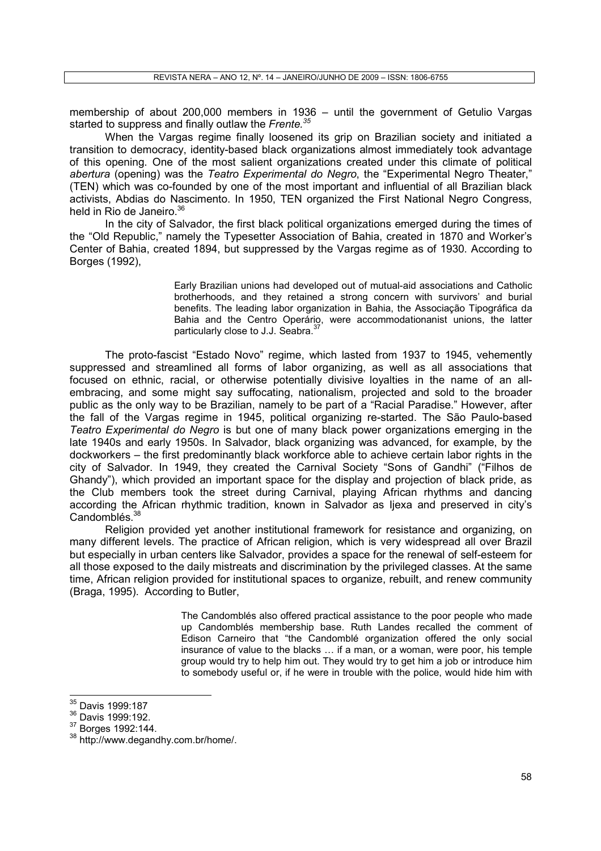membership of about 200,000 members in 1936 – until the government of Getulio Vargas started to suppress and finally outlaw the Frente.<sup>35</sup>

When the Vargas regime finally loosened its grip on Brazilian society and initiated a transition to democracy, identity-based black organizations almost immediately took advantage of this opening. One of the most salient organizations created under this climate of political abertura (opening) was the Teatro Experimental do Negro, the "Experimental Negro Theater," (TEN) which was co-founded by one of the most important and influential of all Brazilian black activists, Abdias do Nascimento. In 1950, TEN organized the First National Negro Congress, held in Rio de Janeiro.<sup>36</sup>

In the city of Salvador, the first black political organizations emerged during the times of the "Old Republic," namely the Typesetter Association of Bahia, created in 1870 and Worker's Center of Bahia, created 1894, but suppressed by the Vargas regime as of 1930. According to Borges (1992),

> Early Brazilian unions had developed out of mutual-aid associations and Catholic brotherhoods, and they retained a strong concern with survivors' and burial benefits. The leading labor organization in Bahia, the Associação Tipográfica da Bahia and the Centro Operário, were accommodationanist unions, the latter particularly close to J.J. Seabra.<sup>3</sup>

The proto-fascist "Estado Novo" regime, which lasted from 1937 to 1945, vehemently suppressed and streamlined all forms of labor organizing, as well as all associations that focused on ethnic, racial, or otherwise potentially divisive loyalties in the name of an allembracing, and some might say suffocating, nationalism, projected and sold to the broader public as the only way to be Brazilian, namely to be part of a "Racial Paradise." However, after the fall of the Vargas regime in 1945, political organizing re-started. The São Paulo-based Teatro Experimental do Negro is but one of many black power organizations emerging in the late 1940s and early 1950s. In Salvador, black organizing was advanced, for example, by the dockworkers – the first predominantly black workforce able to achieve certain labor rights in the city of Salvador. In 1949, they created the Carnival Society "Sons of Gandhi" ("Filhos de Ghandy"), which provided an important space for the display and projection of black pride, as the Club members took the street during Carnival, playing African rhythms and dancing according the African rhythmic tradition, known in Salvador as Ijexa and preserved in city's Candomblés.<sup>38</sup>

Religion provided yet another institutional framework for resistance and organizing, on many different levels. The practice of African religion, which is very widespread all over Brazil but especially in urban centers like Salvador, provides a space for the renewal of self-esteem for all those exposed to the daily mistreats and discrimination by the privileged classes. At the same time, African religion provided for institutional spaces to organize, rebuilt, and renew community (Braga, 1995). According to Butler,

> The Candomblés also offered practical assistance to the poor people who made up Candomblés membership base. Ruth Landes recalled the comment of Edison Carneiro that "the Candomblé organization offered the only social insurance of value to the blacks  $\ldots$  if a man, or a woman, were poor, his temple group would try to help him out. They would try to get him a job or introduce him to somebody useful or, if he were in trouble with the police, would hide him with

<sup>&</sup>lt;sup>35</sup> Davis 1999:187

<sup>36</sup> Davis 1999:192.

<sup>37</sup> Borges 1992:144.

<sup>38</sup> http://www.degandhy.com.br/home/.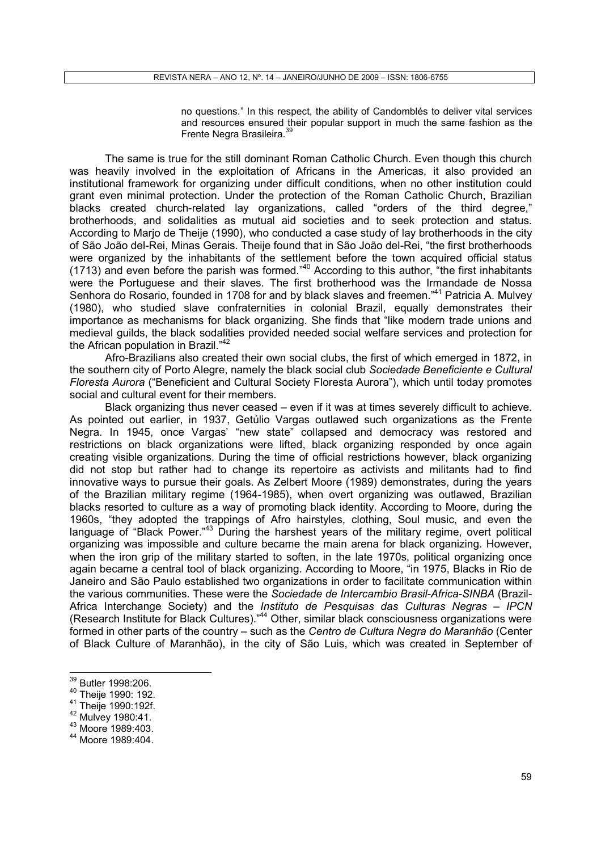no questions." In this respect, the ability of Candomblés to deliver vital services and resources ensured their popular support in much the same fashion as the Frente Negra Brasileira.<sup>39</sup>

The same is true for the still dominant Roman Catholic Church. Even though this church was heavily involved in the exploitation of Africans in the Americas, it also provided an institutional framework for organizing under difficult conditions, when no other institution could grant even minimal protection. Under the protection of the Roman Catholic Church, Brazilian blacks created church-related lay organizations, called "orders of the third degree," brotherhoods, and solidalities as mutual aid societies and to seek protection and status. According to Marjo de Theije (1990), who conducted a case study of lay brotherhoods in the city of São João del-Rei, Minas Gerais. Theije found that in São João del-Rei, "the first brotherhoods were organized by the inhabitants of the settlement before the town acquired official status (1713) and even before the parish was formed." $40$  According to this author, "the first inhabitants were the Portuguese and their slaves. The first brotherhood was the Irmandade de Nossa Senhora do Rosario, founded in 1708 for and by black slaves and freemen."<sup>41</sup> Patricia A. Mulvey (1980), who studied slave confraternities in colonial Brazil, equally demonstrates their importance as mechanisms for black organizing. She finds that "like modern trade unions and medieval guilds, the black sodalities provided needed social welfare services and protection for the African population in Brazil."<sup>42</sup>

Afro-Brazilians also created their own social clubs, the first of which emerged in 1872, in the southern city of Porto Alegre, namely the black social club Sociedade Beneficiente e Cultural Floresta Aurora ("Beneficient and Cultural Society Floresta Aurora"), which until today promotes social and cultural event for their members.

Black organizing thus never ceased – even if it was at times severely difficult to achieve. As pointed out earlier, in 1937, Getúlio Vargas outlawed such organizations as the Frente Negra. In 1945, once Vargas' "new state" collapsed and democracy was restored and restrictions on black organizations were lifted, black organizing responded by once again creating visible organizations. During the time of official restrictions however, black organizing did not stop but rather had to change its repertoire as activists and militants had to find innovative ways to pursue their goals. As Zelbert Moore (1989) demonstrates, during the years of the Brazilian military regime (1964-1985), when overt organizing was outlawed, Brazilian blacks resorted to culture as a way of promoting black identity. According to Moore, during the 1960s, "they adopted the trappings of Afro hairstyles, clothing, Soul music, and even the language of "Black Power."<sup>43</sup> During the harshest years of the military regime, overt political organizing was impossible and culture became the main arena for black organizing. However, when the iron grip of the military started to soften, in the late 1970s, political organizing once again became a central tool of black organizing. According to Moore, "in 1975, Blacks in Rio de Janeiro and São Paulo established two organizations in order to facilitate communication within the various communities. These were the Sociedade de Intercambio Brasil-Africa-SINBA (Brazil-Africa Interchange Society) and the *Instituto de Pesquisas das Culturas Negras – IPCN* (Research Institute for Black Cultures)."<sup>44</sup> Other, similar black consciousness organizations were formed in other parts of the country – such as the Centro de Cultura Negra do Maranhão (Center of Black Culture of Maranhão), in the city of São Luis, which was created in September of

<sup>39</sup> Butler 1998:206.

<sup>40</sup> Theije 1990: 192.

<sup>41</sup> Theije 1990:192f.

<sup>42</sup> Mulvey 1980:41.

<sup>43</sup> Moore 1989:403.

<sup>44</sup> Moore 1989:404.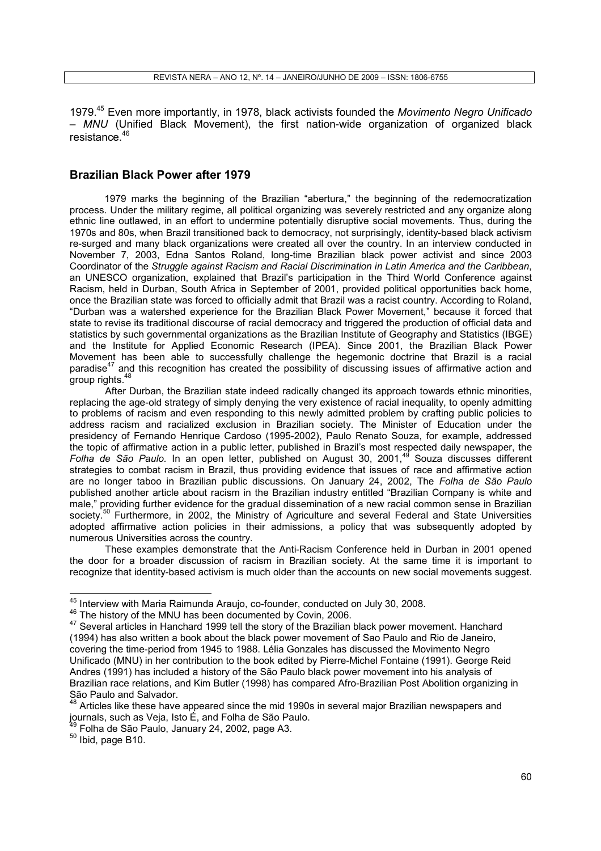1979.<sup>45</sup> Even more importantly, in 1978, black activists founded the Movimento Negro Unificado – MNU (Unified Black Movement), the first nation-wide organization of organized black resistance<sup>46</sup>

#### Brazilian Black Power after 1979

1979 marks the beginning of the Brazilian "abertura," the beginning of the redemocratization process. Under the military regime, all political organizing was severely restricted and any organize along ethnic line outlawed, in an effort to undermine potentially disruptive social movements. Thus, during the 1970s and 80s, when Brazil transitioned back to democracy, not surprisingly, identity-based black activism re-surged and many black organizations were created all over the country. In an interview conducted in November 7, 2003, Edna Santos Roland, long-time Brazilian black power activist and since 2003 Coordinator of the Struggle against Racism and Racial Discrimination in Latin America and the Caribbean, an UNESCO organization, explained that Brazil's participation in the Third World Conference against Racism, held in Durban, South Africa in September of 2001, provided political opportunities back home, once the Brazilian state was forced to officially admit that Brazil was a racist country. According to Roland, "Durban was a watershed experience for the Brazilian Black Power Movement," because it forced that state to revise its traditional discourse of racial democracy and triggered the production of official data and statistics by such governmental organizations as the Brazilian Institute of Geography and Statistics (IBGE) and the Institute for Applied Economic Research (IPEA). Since 2001, the Brazilian Black Power Movement has been able to successfully challenge the hegemonic doctrine that Brazil is a racial paradise<sup>47</sup> and this recognition has created the possibility of discussing issues of affirmative action and group rights.<sup>48</sup>

After Durban, the Brazilian state indeed radically changed its approach towards ethnic minorities, replacing the age-old strategy of simply denying the very existence of racial inequality, to openly admitting to problems of racism and even responding to this newly admitted problem by crafting public policies to address racism and racialized exclusion in Brazilian society. The Minister of Education under the presidency of Fernando Henrique Cardoso (1995-2002), Paulo Renato Souza, for example, addressed the topic of affirmative action in a public letter, published in Brazil's most respected daily newspaper, the Folha de São Paulo. In an open letter, published on August 30, 2001,<sup>49</sup> Souza discusses different strategies to combat racism in Brazil, thus providing evidence that issues of race and affirmative action are no longer taboo in Brazilian public discussions. On January 24, 2002, The Folha de São Paulo published another article about racism in the Brazilian industry entitled "Brazilian Company is white and male," providing further evidence for the gradual dissemination of a new racial common sense in Brazilian society.<sup>50</sup> Furthermore, in 2002, the Ministry of Agriculture and several Federal and State Universities adopted affirmative action policies in their admissions, a policy that was subsequently adopted by numerous Universities across the country.

These examples demonstrate that the Anti-Racism Conference held in Durban in 2001 opened the door for a broader discussion of racism in Brazilian society. At the same time it is important to recognize that identity-based activism is much older than the accounts on new social movements suggest.

 $^{45}$  Interview with Maria Raimunda Araujo, co-founder, conducted on July 30, 2008.

<sup>&</sup>lt;sup>46</sup> The history of the MNU has been documented by Covin, 2006.

<sup>&</sup>lt;sup>47</sup> Several articles in Hanchard 1999 tell the story of the Brazilian black power movement. Hanchard (1994) has also written a book about the black power movement of Sao Paulo and Rio de Janeiro, covering the time-period from 1945 to 1988. Lélia Gonzales has discussed the Movimento Negro Unificado (MNU) in her contribution to the book edited by Pierre-Michel Fontaine (1991). George Reid Andres (1991) has included a history of the São Paulo black power movement into his analysis of Brazilian race relations, and Kim Butler (1998) has compared Afro-Brazilian Post Abolition organizing in São Paulo and Salvador.

<sup>&</sup>lt;sup>48</sup> Articles like these have appeared since the mid 1990s in several major Brazilian newspapers and journals, such as Veja, Isto Ė, and Folha de São Paulo.

<sup>49</sup> Folha de São Paulo, January 24, 2002, page A3.

 $50$  Ibid, page B10.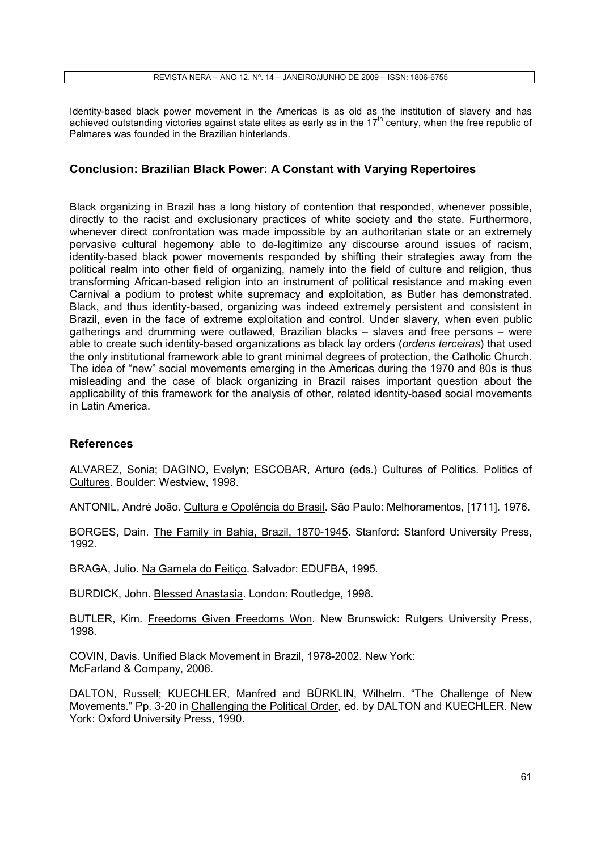Identity-based black power movement in the Americas is as old as the institution of slavery and has achieved outstanding victories against state elites as early as in the  $17<sup>th</sup>$  century, when the free republic of Palmares was founded in the Brazilian hinterlands.

# Conclusion: Brazilian Black Power: A Constant with Varying Repertoires

Black organizing in Brazil has a long history of contention that responded, whenever possible, directly to the racist and exclusionary practices of white society and the state. Furthermore, whenever direct confrontation was made impossible by an authoritarian state or an extremely pervasive cultural hegemony able to de-legitimize any discourse around issues of racism, identity-based black power movements responded by shifting their strategies away from the political realm into other field of organizing, namely into the field of culture and religion, thus transforming African-based religion into an instrument of political resistance and making even Carnival a podium to protest white supremacy and exploitation, as Butler has demonstrated. Black, and thus identity-based, organizing was indeed extremely persistent and consistent in Brazil, even in the face of extreme exploitation and control. Under slavery, when even public gatherings and drumming were outlawed, Brazilian blacks – slaves and free persons – were able to create such identity-based organizations as black lay orders (ordens terceiras) that used the only institutional framework able to grant minimal degrees of protection, the Catholic Church. The idea of "new" social movements emerging in the Americas during the 1970 and 80s is thus misleading and the case of black organizing in Brazil raises important question about the applicability of this framework for the analysis of other, related identity-based social movements in Latin America.

#### **References**

ALVAREZ, Sonia; DAGINO, Evelyn; ESCOBAR, Arturo (eds.) Cultures of Politics. Politics of Cultures. Boulder: Westview, 1998.

ANTONIL, André João. Cultura e Opolência do Brasil. São Paulo: Melhoramentos, [1711]. 1976.

BORGES, Dain. The Family in Bahia, Brazil, 1870-1945. Stanford: Stanford University Press, 1992.

BRAGA, Julio. Na Gamela do Feitiço. Salvador: EDUFBA, 1995.

BURDICK, John. Blessed Anastasia. London: Routledge, 1998.

BUTLER, Kim. Freedoms Given Freedoms Won. New Brunswick: Rutgers University Press, 1998.

COVIN, Davis. Unified Black Movement in Brazil, 1978-2002. New York: McFarland & Company, 2006.

DALTON, Russell; KUECHLER, Manfred and BÜRKLIN, Wilhelm. "The Challenge of New Movements." Pp. 3-20 in Challenging the Political Order, ed. by DALTON and KUECHLER. New York: Oxford University Press, 1990.